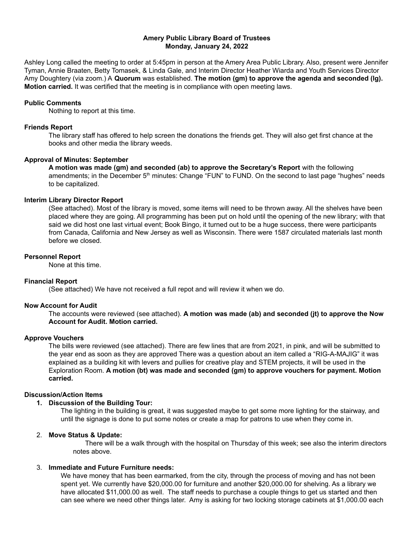## **Amery Public Library Board of Trustees Monday, January 24, 2022**

Ashley Long called the meeting to order at 5:45pm in person at the Amery Area Public Library. Also, present were Jennifer Tyman, Annie Braaten, Betty Tomasek, & Linda Gale, and Interim Director Heather Wiarda and Youth Services Director Amy Doughtery (via zoom.) A **Quorum** was established. **The motion (gm) to approve the agenda and seconded (lg). Motion carried.** It was certified that the meeting is in compliance with open meeting laws.

#### **Public Comments**

Nothing to report at this time.

## **Friends Report**

The library staff has offered to help screen the donations the friends get. They will also get first chance at the books and other media the library weeds.

#### **Approval of Minutes: September**

**A motion was made (gm) and seconded (ab) to approve the Secretary's Report** with the following amendments; in the December 5<sup>th</sup> minutes: Change "FUN" to FUND. On the second to last page "hughes" needs to be capitalized.

#### **Interim Library Director Report**

(See attached). Most of the library is moved, some items will need to be thrown away. All the shelves have been placed where they are going. All programming has been put on hold until the opening of the new library; with that said we did host one last virtual event; Book Bingo, it turned out to be a huge success, there were participants from Canada, California and New Jersey as well as Wisconsin. There were 1587 circulated materials last month before we closed.

#### **Personnel Report**

None at this time.

## **Financial Report**

(See attached) We have not received a full repot and will review it when we do.

#### **Now Account for Audit**

The accounts were reviewed (see attached). **A motion was made (ab) and seconded (jt) to approve the Now Account for Audit. Motion carried.**

# **Approve Vouchers**

The bills were reviewed (see attached). There are few lines that are from 2021, in pink, and will be submitted to the year end as soon as they are approved There was a question about an item called a "RIG-A-MAJIG" it was explained as a building kit with levers and pullies for creative play and STEM projects, it will be used in the Exploration Room. **A motion (bt) was made and seconded (gm) to approve vouchers for payment. Motion carried.**

## **Discussion/Action Items**

# **1. Discussion of the Building Tour:**

The lighting in the building is great, it was suggested maybe to get some more lighting for the stairway, and until the signage is done to put some notes or create a map for patrons to use when they come in.

## 2. **Move Status & Update:**

There will be a walk through with the hospital on Thursday of this week; see also the interim directors notes above.

## 3. **Immediate and Future Furniture needs:**

We have money that has been earmarked, from the city, through the process of moving and has not been spent yet. We currently have \$20,000.00 for furniture and another \$20,000.00 for shelving. As a library we have allocated \$11,000.00 as well. The staff needs to purchase a couple things to get us started and then can see where we need other things later. Amy is asking for two locking storage cabinets at \$1,000.00 each